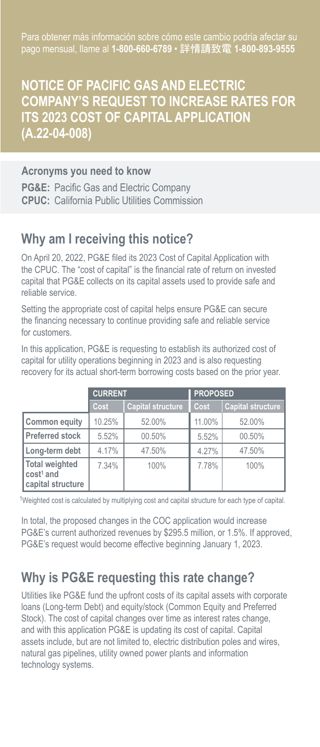Para obtener más información sobre cómo este cambio podría afectar su pago mensual, llame al **1-800-660-6789** • 詳情請致電 **1-800-893-9555**

## **NOTICE OF PACIFIC GAS AND ELECTRIC COMPANY'S REQUEST TO INCREASE RATES FOR ITS 2023 COST OF CAPITAL APPLICATION (A.22-04-008)**

#### **Acronyms you need to know**

**PG&E:** Pacific Gas and Electric Company **CPUC:** California Public Utilities Commission

### **Why am I receiving this notice?**

On April 20, 2022, PG&E filed its 2023 Cost of Capital Application with the CPUC. The "cost of capital" is the financial rate of return on invested capital that PG&E collects on its capital assets used to provide safe and reliable service.

Setting the appropriate cost of capital helps ensure PG&E can secure the financing necessary to continue providing safe and reliable service for customers.

In this application, PG&E is requesting to establish its authorized cost of capital for utility operations beginning in 2023 and is also requesting recovery for its actual short-term borrowing costs based on the prior year.

|                                                              | <b>CURRENT</b> |                          | <b>PROPOSED</b> |                          |  |
|--------------------------------------------------------------|----------------|--------------------------|-----------------|--------------------------|--|
|                                                              | Cost           | <b>Capital structure</b> | Cost            | <b>Capital structure</b> |  |
| Common equity                                                | 10.25%         | 52.00%                   | 11.00%          | 52.00%                   |  |
| <b>Preferred stock</b>                                       | 5.52%          | 00.50%                   | 5.52%           | 00.50%                   |  |
| Long-term debt                                               | 4.17%          | 47.50%                   | 4.27%           | 47.50%                   |  |
| Total weighted<br>cost <sup>1</sup> and<br>capital structure | 7.34%          | 100%                     | 7.78%           | 100%                     |  |

1Weighted cost is calculated by multiplying cost and capital structure for each type of capital.

In total, the proposed changes in the COC application would increase PG&E's current authorized revenues by \$295.5 million, or 1.5%. If approved, PG&E's request would become effective beginning January 1, 2023.

# **Why is PG&E requesting this rate change?**

Utilities like PG&E fund the upfront costs of its capital assets with corporate loans (Long-term Debt) and equity/stock (Common Equity and Preferred Stock). The cost of capital changes over time as interest rates change, and with this application PG&E is updating its cost of capital. Capital assets include, but are not limited to, electric distribution poles and wires, natural gas pipelines, utility owned power plants and information technology systems.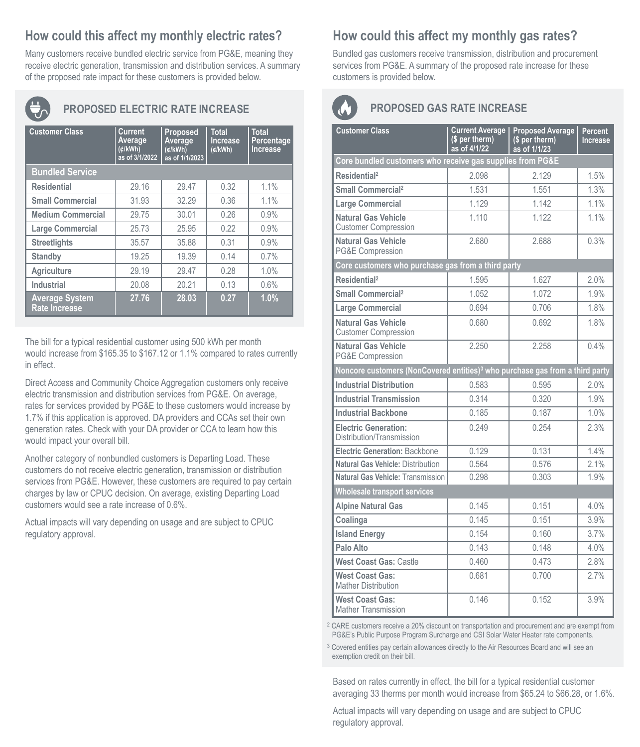# **How could this affect my monthly electric rates?**

Many customers receive bundled electric service from PG&E, meaning they receive electric generation, transmission and distribution services. A summary of the proposed rate impact for these customers is provided below.



## **PROPOSED ELECTRIC RATE INCREASE**

| <b>Customer Class</b>                         | Current<br>Average<br>(d/kWh)<br>as of 3/1/2022 | Proposed<br>Average<br>(d/kWh)<br>as of 1/1/2023 | <b>Total</b><br>Increase<br>(d/kWh) | <b>Total</b><br>Percentage<br><b>Increase</b> |  |  |  |
|-----------------------------------------------|-------------------------------------------------|--------------------------------------------------|-------------------------------------|-----------------------------------------------|--|--|--|
| <b>Bundled Service</b>                        |                                                 |                                                  |                                     |                                               |  |  |  |
| <b>Residential</b>                            | 29.16                                           | 29.47                                            | 0.32                                | 1.1%                                          |  |  |  |
| <b>Small Commercial</b>                       | 31.93                                           | 32.29                                            | 0.36                                | 1.1%                                          |  |  |  |
| <b>Medium Commercial</b>                      | 29.75                                           | 30.01                                            | 0.26                                | 0.9%                                          |  |  |  |
| Large Commercial                              | 25.73                                           | 25.95                                            | 0.22                                | 0.9%                                          |  |  |  |
| <b>Streetlights</b>                           | 35.57                                           | 35.88                                            | 0.31                                | 0.9%                                          |  |  |  |
| Standby                                       | 19.25                                           | 19.39                                            | 0.14                                | 0.7%                                          |  |  |  |
| Agriculture                                   | 29.19                                           | 29.47                                            | 0.28                                | 1.0%                                          |  |  |  |
| Industrial                                    | 20.08                                           | 20.21                                            | 0.13                                | 0.6%                                          |  |  |  |
| <b>Average System</b><br><b>Rate Increase</b> | 27.76                                           | 28.03                                            | 0.27                                | 1.0%                                          |  |  |  |

The bill for a typical residential customer using 500 kWh per month would increase from \$165.35 to \$167.12 or 1.1% compared to rates currently in effect.

Direct Access and Community Choice Aggregation customers only receive electric transmission and distribution services from PG&E. On average, rates for services provided by PG&E to these customers would increase by 1.7% if this application is approved. DA providers and CCAs set their own generation rates. Check with your DA provider or CCA to learn how this would impact your overall bill.

Another category of nonbundled customers is Departing Load. These customers do not receive electric generation, transmission or distribution services from PG&E. However, these customers are required to pay certain charges by law or CPUC decision. On average, existing Departing Load customers would see a rate increase of 0.6%.

Actual impacts will vary depending on usage and are subject to CPUC regulatory approval.

# **How could this affect my monthly gas rates?**

Bundled gas customers receive transmission, distribution and procurement services from PG&E. A summary of the proposed rate increase for these customers is provided below.

### **PROPOSED GAS RATE INCREASE**

| <b>Customer Class</b>                                                                    | <b>Current Average</b><br>(\$ per therm)<br>as of 4/1/22 | <b>Proposed Average</b><br>(\$ per therm)<br>as of 1/1/23 | Percent<br>Increase |  |  |  |  |
|------------------------------------------------------------------------------------------|----------------------------------------------------------|-----------------------------------------------------------|---------------------|--|--|--|--|
| Core bundled customers who receive gas supplies from PG&E                                |                                                          |                                                           |                     |  |  |  |  |
| Residential <sup>2</sup>                                                                 | 2.098                                                    | 2.129                                                     | 1.5%                |  |  |  |  |
| Small Commercial <sup>2</sup>                                                            | 1.531                                                    | 1.551                                                     | 1.3%                |  |  |  |  |
| Large Commercial                                                                         | 1.129                                                    | 1.142                                                     | 1.1%                |  |  |  |  |
| Natural Gas Vehicle<br><b>Customer Compression</b>                                       | 1 1 1 0                                                  | 1 1 2 2                                                   | 11%                 |  |  |  |  |
| Natural Gas Vehicle<br><b>PG&amp;E Compression</b>                                       | 2.680                                                    | 2.688                                                     | 0.3%                |  |  |  |  |
| Core customers who purchase gas from a third party                                       |                                                          |                                                           |                     |  |  |  |  |
| Residential <sup>2</sup>                                                                 | 1.595                                                    | 1.627                                                     | 2.0%                |  |  |  |  |
| Small Commercial <sup>2</sup>                                                            | 1.052                                                    | 1.072                                                     | 1.9%                |  |  |  |  |
| Large Commercial                                                                         | 0.694                                                    | 0.706                                                     | 1.8%                |  |  |  |  |
| Natural Gas Vehicle<br><b>Customer Compression</b>                                       | 0.680                                                    | 0.692                                                     | 1.8%                |  |  |  |  |
| Natural Gas Vehicle<br>PG&E Compression                                                  | 2.250                                                    | 2.258                                                     | 0.4%                |  |  |  |  |
| Noncore customers (NonCovered entities) <sup>3</sup> who purchase gas from a third party |                                                          |                                                           |                     |  |  |  |  |
| <b>Industrial Distribution</b>                                                           | 0.583                                                    | 0.595                                                     | 2.0%                |  |  |  |  |
| <b>Industrial Transmission</b>                                                           | 0.314                                                    | 0.320                                                     | 1.9%                |  |  |  |  |
| <b>Industrial Backbone</b>                                                               | 0.185                                                    | 0.187                                                     | 1.0%                |  |  |  |  |
| <b>Electric Generation:</b><br>Distribution/Transmission                                 | 0 249                                                    | 0 254                                                     | 2.3%                |  |  |  |  |
| Electric Generation: Backbone                                                            | 0.129                                                    | 0.131                                                     | 1.4%                |  |  |  |  |
| Natural Gas Vehicle: Distribution                                                        | 0.564                                                    | 0.576                                                     | 2.1%                |  |  |  |  |
| Natural Gas Vehicle: Transmission                                                        | 0.298                                                    | 0.303                                                     | 1.9%                |  |  |  |  |
| <b>Wholesale transport services</b>                                                      |                                                          |                                                           |                     |  |  |  |  |
| <b>Alpine Natural Gas</b>                                                                | 0.145                                                    | 0.151                                                     | 4.0%                |  |  |  |  |
| Coalinga                                                                                 | 0.145                                                    | 0.151                                                     | 3.9%                |  |  |  |  |
| <b>Island Energy</b>                                                                     | 0.154                                                    | 0.160                                                     | 3.7%                |  |  |  |  |
| Palo Alto                                                                                | 0.143                                                    | 0.148                                                     | 4.0%                |  |  |  |  |
| West Coast Gas: Castle                                                                   | 0.460                                                    | 0.473                                                     | 28%                 |  |  |  |  |
| <b>West Coast Gas:</b><br><b>Mather Distribution</b>                                     | 0.681                                                    | 0.700                                                     | 2.7%                |  |  |  |  |
| <b>West Coast Gas:</b><br><b>Mather Transmission</b>                                     | 0.146                                                    | 0.152                                                     | 3.9%                |  |  |  |  |

<sup>2</sup> CARE customers receive a 20% discount on transportation and procurement and are exempt from PG&E's Public Purpose Program Surcharge and CSI Solar Water Heater rate components.

<sup>3</sup> Covered entities pay certain allowances directly to the Air Resources Board and will see an exemption credit on their bill.

Based on rates currently in effect, the bill for a typical residential customer averaging 33 therms per month would increase from \$65.24 to \$66.28, or 1.6%.

Actual impacts will vary depending on usage and are subject to CPUC regulatory approval.